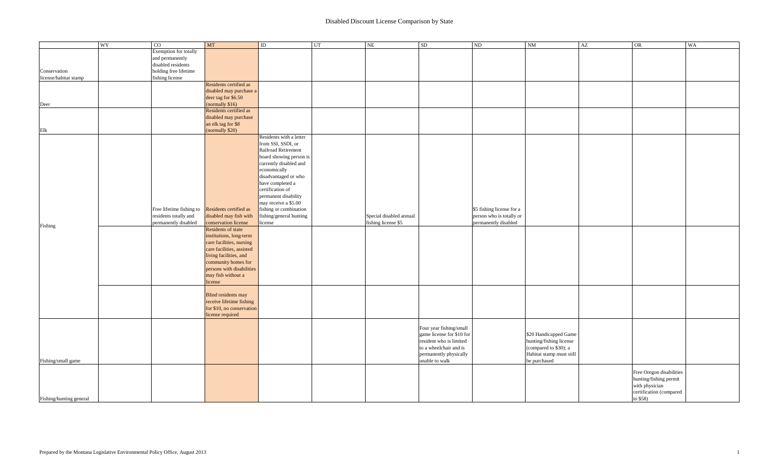|                         | WY | $\overline{C}$           | MT                        | $\rm ID$                | UT | $\rm NE$                | <b>SD</b>                 | $\rm ND$                  | <b>NM</b>                | AZ | OR                                       | WA |
|-------------------------|----|--------------------------|---------------------------|-------------------------|----|-------------------------|---------------------------|---------------------------|--------------------------|----|------------------------------------------|----|
|                         |    | Exemption for totally    |                           |                         |    |                         |                           |                           |                          |    |                                          |    |
|                         |    | and permanently          |                           |                         |    |                         |                           |                           |                          |    |                                          |    |
|                         |    | disabled residents       |                           |                         |    |                         |                           |                           |                          |    |                                          |    |
| Conservation            |    | holding free lifetime    |                           |                         |    |                         |                           |                           |                          |    |                                          |    |
| license/habitat stamp   |    | fishing license          |                           |                         |    |                         |                           |                           |                          |    |                                          |    |
|                         |    |                          | Residents certified as    |                         |    |                         |                           |                           |                          |    |                                          |    |
|                         |    |                          | disabled may purchase a   |                         |    |                         |                           |                           |                          |    |                                          |    |
|                         |    |                          | deer tag for \$6.50       |                         |    |                         |                           |                           |                          |    |                                          |    |
| Deer                    |    |                          | (normally \$16)           |                         |    |                         |                           |                           |                          |    |                                          |    |
|                         |    |                          | Residents certified as    |                         |    |                         |                           |                           |                          |    |                                          |    |
|                         |    |                          | disabled may purchase     |                         |    |                         |                           |                           |                          |    |                                          |    |
|                         |    |                          | an elk tag for \$8        |                         |    |                         |                           |                           |                          |    |                                          |    |
| $\rm{Elk}$              |    |                          | (normally \$20)           |                         |    |                         |                           |                           |                          |    |                                          |    |
|                         |    |                          |                           | Residents with a letter |    |                         |                           |                           |                          |    |                                          |    |
|                         |    |                          |                           | from SSI, SSDI, or      |    |                         |                           |                           |                          |    |                                          |    |
|                         |    |                          |                           | Railroad Retirement     |    |                         |                           |                           |                          |    |                                          |    |
|                         |    |                          |                           |                         |    |                         |                           |                           |                          |    |                                          |    |
|                         |    |                          |                           | board showing person is |    |                         |                           |                           |                          |    |                                          |    |
|                         |    |                          |                           | currently disabled and  |    |                         |                           |                           |                          |    |                                          |    |
|                         |    |                          |                           | economically            |    |                         |                           |                           |                          |    |                                          |    |
|                         |    |                          |                           | disadvantaged or who    |    |                         |                           |                           |                          |    |                                          |    |
|                         |    |                          |                           | have completed a        |    |                         |                           |                           |                          |    |                                          |    |
|                         |    |                          |                           | certification of        |    |                         |                           |                           |                          |    |                                          |    |
|                         |    |                          |                           | permanent disability    |    |                         |                           |                           |                          |    |                                          |    |
|                         |    |                          |                           | may receive a \$5.00    |    |                         |                           |                           |                          |    |                                          |    |
|                         |    | Free lifetime fishing to | Residents certified as    | fishing or combination  |    |                         |                           | \$5 fishing license for a |                          |    |                                          |    |
|                         |    | residents totally and    | disabled may fish with    | fishing/general hunting |    | Special disabled annual |                           | person who is totally or  |                          |    |                                          |    |
|                         |    | permanently disabled     | conservation license      | license                 |    | fishing license \$5     |                           | permanently disabled      |                          |    |                                          |    |
| Fishing                 |    |                          | Residents of state        |                         |    |                         |                           |                           |                          |    |                                          |    |
|                         |    |                          | institutions, long-term   |                         |    |                         |                           |                           |                          |    |                                          |    |
|                         |    |                          | care facilities, nursing  |                         |    |                         |                           |                           |                          |    |                                          |    |
|                         |    |                          | care facilities, assisted |                         |    |                         |                           |                           |                          |    |                                          |    |
|                         |    |                          | living facilities, and    |                         |    |                         |                           |                           |                          |    |                                          |    |
|                         |    |                          |                           |                         |    |                         |                           |                           |                          |    |                                          |    |
|                         |    |                          | community homes for       |                         |    |                         |                           |                           |                          |    |                                          |    |
|                         |    |                          | persons with disabilities |                         |    |                         |                           |                           |                          |    |                                          |    |
|                         |    |                          | may fish without a        |                         |    |                         |                           |                           |                          |    |                                          |    |
|                         |    |                          | license                   |                         |    |                         |                           |                           |                          |    |                                          |    |
|                         |    |                          |                           |                         |    |                         |                           |                           |                          |    |                                          |    |
|                         |    |                          | Blind residents may       |                         |    |                         |                           |                           |                          |    |                                          |    |
|                         |    |                          | receive lifetime fishing  |                         |    |                         |                           |                           |                          |    |                                          |    |
|                         |    |                          | for \$10, no conservation |                         |    |                         |                           |                           |                          |    |                                          |    |
|                         |    |                          | license required          |                         |    |                         |                           |                           |                          |    |                                          |    |
|                         |    |                          |                           |                         |    |                         |                           |                           |                          |    |                                          |    |
|                         |    |                          |                           |                         |    |                         | Four year fishing/small   |                           |                          |    |                                          |    |
|                         |    |                          |                           |                         |    |                         | game license for \$10 for |                           | \$20 Handicapped Game    |    |                                          |    |
|                         |    |                          |                           |                         |    |                         | resident who is limited   |                           | hunting/fishing license  |    |                                          |    |
|                         |    |                          |                           |                         |    |                         | to a wheelchair and is    |                           | (compared to \$30); a    |    |                                          |    |
|                         |    |                          |                           |                         |    |                         | permanently physically    |                           | Habitat stamp must still |    |                                          |    |
| Fishing/small game      |    |                          |                           |                         |    |                         | unable to walk            |                           | be purchased             |    |                                          |    |
|                         |    |                          |                           |                         |    |                         |                           |                           |                          |    |                                          |    |
|                         |    |                          |                           |                         |    |                         |                           |                           |                          |    | Free Oregon disabilities                 |    |
|                         |    |                          |                           |                         |    |                         |                           |                           |                          |    |                                          |    |
|                         |    |                          |                           |                         |    |                         |                           |                           |                          |    | hunting/fishing permit<br>with physician |    |
|                         |    |                          |                           |                         |    |                         |                           |                           |                          |    | certification (compared                  |    |
| Fishing/hunting general |    |                          |                           |                         |    |                         |                           |                           |                          |    | to \$58)                                 |    |